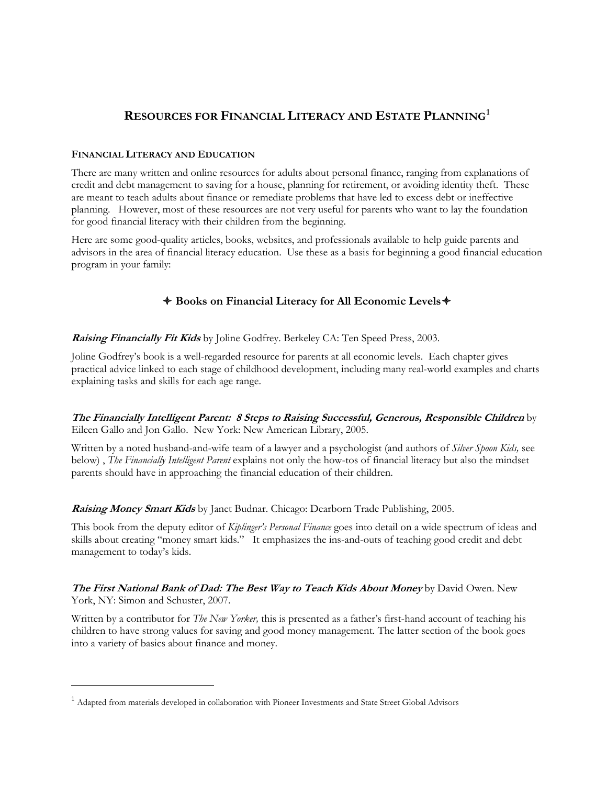# **RESOURCES FOR FINANCIAL LITERACY AND ESTATE PLANNING[1](#page-0-0)**

#### **FINANCIAL LITERACY AND EDUCATION**

There are many written and online resources for adults about personal finance, ranging from explanations of credit and debt management to saving for a house, planning for retirement, or avoiding identity theft. These are meant to teach adults about finance or remediate problems that have led to excess debt or ineffective planning. However, most of these resources are not very useful for parents who want to lay the foundation for good financial literacy with their children from the beginning.

Here are some good-quality articles, books, websites, and professionals available to help guide parents and advisors in the area of financial literacy education. Use these as a basis for beginning a good financial education program in your family:

# **Books on Financial Literacy for All Economic Levels**

**Raising Financially Fit Kids** by Joline Godfrey. Berkeley CA: Ten Speed Press, 2003.

Joline Godfrey's book is a well-regarded resource for parents at all economic levels. Each chapter gives practical advice linked to each stage of childhood development, including many real-world examples and charts explaining tasks and skills for each age range.

**The Financially Intelligent Parent: 8 Steps to Raising Successful, Generous, Responsible Children** by Eileen Gallo and Jon Gallo. New York: New American Library, 2005.

Written by a noted husband-and-wife team of a lawyer and a psychologist (and authors of *Silver Spoon Kids,* see below) , *The Financially Intelligent Parent* explains not only the how-tos of financial literacy but also the mindset parents should have in approaching the financial education of their children.

**Raising Money Smart Kids** by Janet Budnar. Chicago: Dearborn Trade Publishing, 2005.

This book from the deputy editor of *Kiplinger's Personal Finance* goes into detail on a wide spectrum of ideas and skills about creating "money smart kids." It emphasizes the ins-and-outs of teaching good credit and debt management to today's kids.

**The First National Bank of Dad: The Best Way to Teach Kids About Money** by David Owen. New York, NY: Simon and Schuster, 2007.

Written by a contributor for *The New Yorker,* this is presented as a father's first-hand account of teaching his children to have strong values for saving and good money management. The latter section of the book goes into a variety of basics about finance and money.

l

<span id="page-0-0"></span><sup>&</sup>lt;sup>1</sup> Adapted from materials developed in collaboration with Pioneer Investments and State Street Global Advisors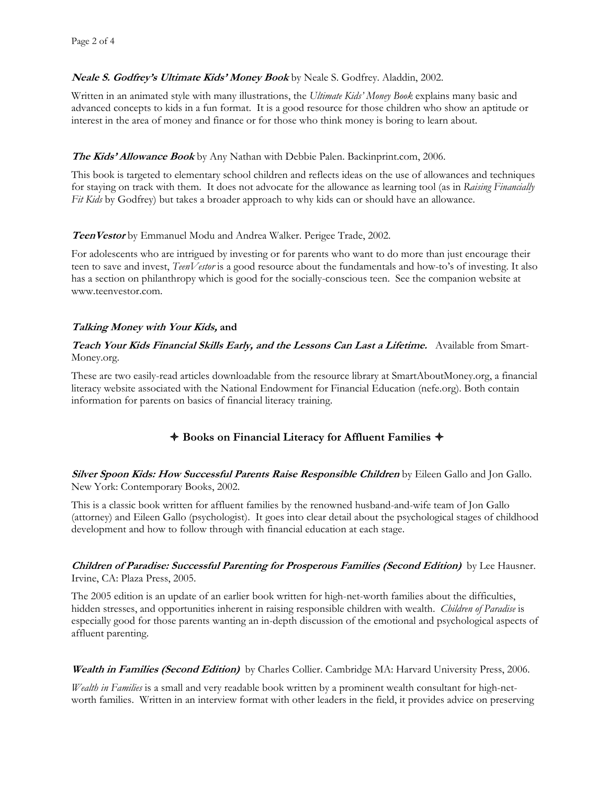# **Neale S. Godfrey's Ultimate Kids' Money Book** by Neale S. Godfrey. Aladdin, 2002.

Written in an animated style with many illustrations, the *Ultimate Kids' Money Book* explains many basic and advanced concepts to kids in a fun format. It is a good resource for those children who show an aptitude or interest in the area of money and finance or for those who think money is boring to learn about.

## **The Kids' Allowance Book** by Any Nathan with Debbie Palen. Backinprint.com, 2006.

This book is targeted to elementary school children and reflects ideas on the use of allowances and techniques for staying on track with them. It does not advocate for the allowance as learning tool (as in *Raising Financially Fit Kids* by Godfrey) but takes a broader approach to why kids can or should have an allowance.

#### **TeenVestor** by Emmanuel Modu and Andrea Walker. Perigee Trade, 2002.

For adolescents who are intrigued by investing or for parents who want to do more than just encourage their teen to save and invest, *TeenVestor* is a good resource about the fundamentals and how-to's of investing. It also has a section on philanthropy which is good for the socially-conscious teen. See the companion website at [www.teenvestor.com.](http://www.teenvestor.com/)

# **Talking Money with Your Kids, and**

## **Teach Your Kids Financial Skills Early, and the Lessons Can Last a Lifetime.** Available from Smart-Money.org.

These are two easily-read articles downloadable from the resource library at SmartAboutMoney.org, a financial literacy website associated with the National Endowment for Financial Education (nefe.org). Both contain information for parents on basics of financial literacy training.

# **Books on Financial Literacy for Affluent Families**

#### **Silver Spoon Kids: How Successful Parents Raise Responsible Children** by Eileen Gallo and Jon Gallo. New York: Contemporary Books, 2002.

This is a classic book written for affluent families by the renowned husband-and-wife team of Jon Gallo (attorney) and Eileen Gallo (psychologist). It goes into clear detail about the psychological stages of childhood development and how to follow through with financial education at each stage.

#### **Children of Paradise: Successful Parenting for Prosperous Families (Second Edition)** by Lee Hausner. Irvine, CA: Plaza Press, 2005.

The 2005 edition is an update of an earlier book written for high-net-worth families about the difficulties, hidden stresses, and opportunities inherent in raising responsible children with wealth. *Children of Paradise* is especially good for those parents wanting an in-depth discussion of the emotional and psychological aspects of affluent parenting.

#### **Wealth in Families (Second Edition)** by Charles Collier. Cambridge MA: Harvard University Press, 2006.

*Wealth in Families* is a small and very readable book written by a prominent wealth consultant for high-networth families. Written in an interview format with other leaders in the field, it provides advice on preserving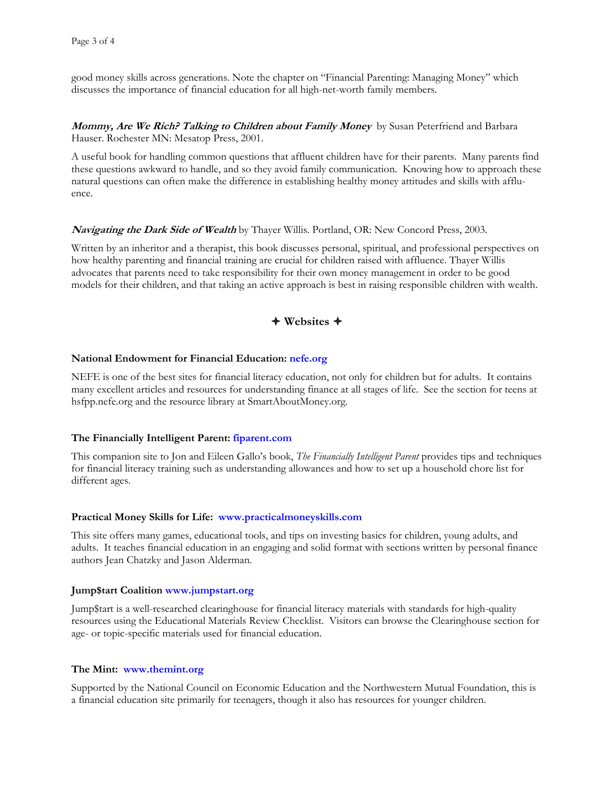good money skills across generations. Note the chapter on "Financial Parenting: Managing Money" which discusses the importance of financial education for all high-net-worth family members.

**Mommy, Are We Rich? Talking to Children about Family Money** by Susan Peterfriend and Barbara Hauser. Rochester MN: Mesatop Press, 2001.

A useful book for handling common questions that affluent children have for their parents. Many parents find these questions awkward to handle, and so they avoid family communication. Knowing how to approach these natural questions can often make the difference in establishing healthy money attitudes and skills with affluence.

#### **Navigating the Dark Side of Wealth** by Thayer Willis. Portland, OR: New Concord Press, 2003.

Written by an inheritor and a therapist, this book discusses personal, spiritual, and professional perspectives on how healthy parenting and financial training are crucial for children raised with affluence. Thayer Willis advocates that parents need to take responsibility for their own money management in order to be good models for their children, and that taking an active approach is best in raising responsible children with wealth.

# **Websites**

#### **National Endowment for Financial Education: nefe.org**

NEFE is one of the best sites for financial literacy education, not only for children but for adults. It contains many excellent articles and resources for understanding finance at all stages of life. See the section for teens at hsfpp.nefe.org and the resource library at SmartAboutMoney.org.

#### **The Financially Intelligent Parent: fiparent.com**

This companion site to Jon and Eileen Gallo's book, *The Financially Intelligent Parent* provides tips and techniques for financial literacy training such as understanding allowances and how to set up a household chore list for different ages.

#### **Practical Money Skills for Life: [www.practicalmoneyskills.com](http://www.practicalmoneyskills.com/)**

This site offers many games, educational tools, and tips on investing basics for children, young adults, and adults. It teaches financial education in an engaging and solid format with sections written by personal finance authors Jean Chatzky and Jason Alderman.

#### **Jump\$tart Coalition [www.jumpstart.org](http://www.jumpstart.org/)**

Jump\$tart is a well-researched clearinghouse for financial literacy materials with standards for high-quality resources using the Educational Materials Review Checklist. Visitors can browse the Clearinghouse section for age- or topic-specific materials used for financial education.

#### **The Mint: [www.themint.org](http://www.themint.org/)**

Supported by the National Council on Economic Education and the Northwestern Mutual Foundation, this is a financial education site primarily for teenagers, though it also has resources for younger children.